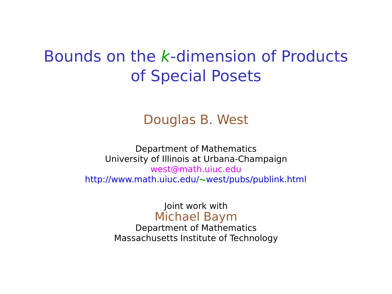# Bounds on the k-dimension of Products of Special Posets

#### Douglas B. West

Department of Mathematics University of Illinois at Urbana-Champaign west@math.uiuc.edu http://www.math.uiuc.edu/**∼**west/pubs/publink.html

> Joint work with Michael Baym

Department of Mathematics Massachusetts Institute of Technology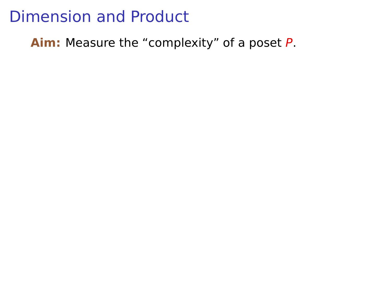**Aim:** Measure the "complexity" of a poset P.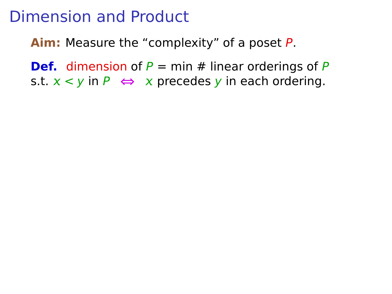**Aim:** Measure the "complexity" of a poset P.

**Def.** dimension of  $P = min # linear orderings of  $P$$ s.t.  $x < y$  in  $P \Leftrightarrow x$  precedes y in each ordering.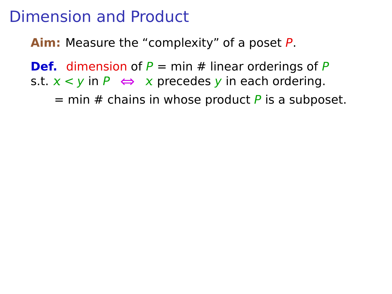**Aim:** Measure the "complexity" of a poset P.

**Def.** dimension of  $P = min # linear orderings of  $P$$ s.t.  $x < y$  in  $P \Leftrightarrow x$  precedes y in each ordering.

 $=$  min # chains in whose product P is a subposet.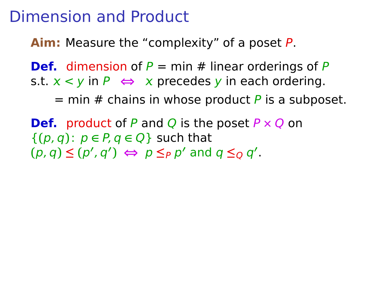**Aim:** Measure the "complexity" of a poset P.

**Def.** dimension of  $P = min # linear orderings of  $P$$ s.t.  $x < y$  in  $P \Leftrightarrow x$  precedes y in each ordering.

 $=$  min # chains in whose product P is a subposet.

**Def.** product of P and Q is the poset P **×** Q on  $\{(p, q): p \in P, q \in Q\}$  such that  $(p, q) \leq (p', q') \iff p \leq_P p'$  and  $q \leq_Q q'$ .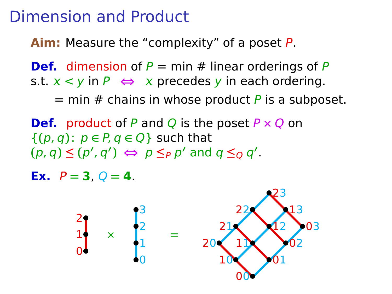**Aim:** Measure the "complexity" of a poset P.

**Def.** dimension of  $P = min # linear orderings of  $P$$ s.t.  $x < y$  in  $P \Leftrightarrow x$  precedes y in each ordering.

 $=$  min # chains in whose product P is a subposet.

**Def.** product of P and Q is the poset  $P \times Q$  on  ${(p, q): p \in P, q \in Q}$  such that  $(p, q) \leq (p', q') \iff p \leq_P p'$  and  $q \leq_Q q'$ .

**Ex.**  $P = 3$ ,  $Q = 4$ .

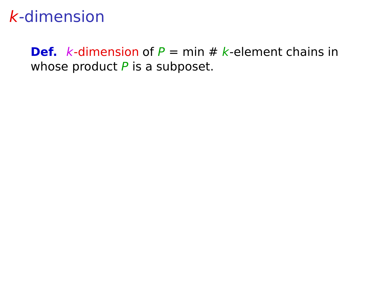**Def.** k-dimension of  $P = min # k$ -element chains in whose product  $P$  is a subposet.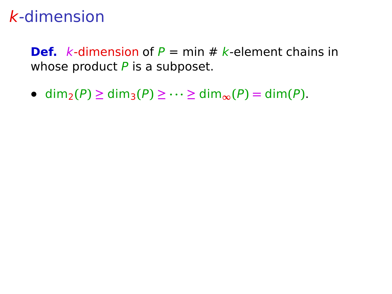**Def.** k-dimension of  $P = min # k$ -element chains in whose product  $P$  is a subposet.

**•** dim2**(**P**) ≥** dim3**(**P**) ≥ · · · ≥** dim**∞(**P**) =** dim**(**P**)**.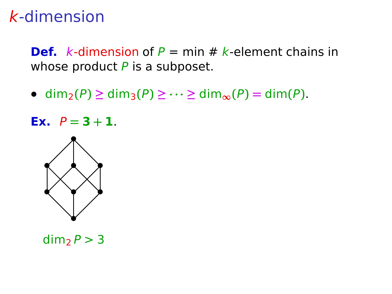**Def.** k-dimension of  $P = min # k$ -element chains in whose product  $P$  is a subposet.

**•** dim2**(**P**) ≥** dim3**(**P**) ≥ · · · ≥** dim**∞(**P**) =** dim**(**P**)**.

**Ex.**  $P = 3 + 1$ .



 $dim_2 P > 3$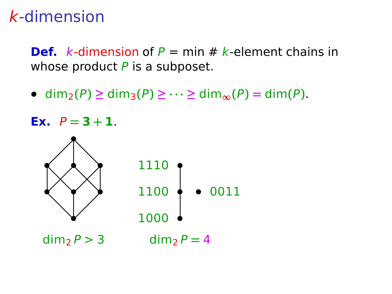**Def.** k-dimension of  $P = min # k$ -element chains in whose product  $P$  is a subposet.

**•** dim2**(**P**) ≥** dim3**(**P**) ≥ · · · ≥** dim**∞(**P**) =** dim**(**P**)**.

**Ex.**  $P = 3 + 1$ .

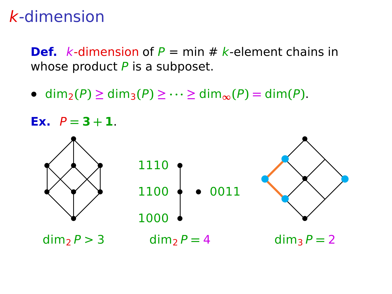**Def.** k-dimension of  $P = min # k$ -element chains in whose product  $P$  is a subposet.

**•** dim2**(**P**) ≥** dim3**(**P**) ≥ · · · ≥** dim**∞(**P**) =** dim**(**P**)**.

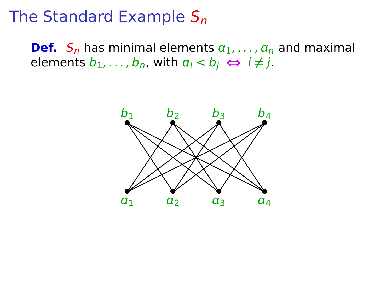### The Standard Example  $S_n$

**Def.**  $S_n$  has minimal elements  $a_1, \ldots, a_n$  and maximal elements  $b_1, \ldots, b_n$ , with  $a_i < b_j \Leftrightarrow i \neq j$ .

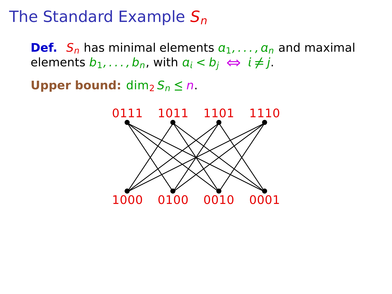# The Standard Example  $S_n$

**Def.**  $S_n$  has minimal elements  $a_1, \ldots, a_n$  and maximal elements  $b_1, \ldots, b_n$ , with  $a_i < b_i \Leftrightarrow i \neq j$ .

**Upper bound:** dim<sub>2</sub>  $S_n \leq n$ .

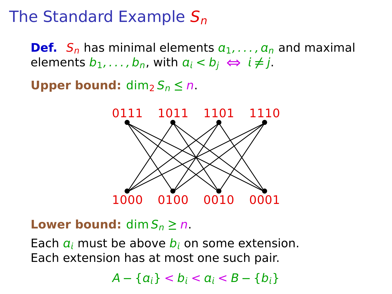# The Standard Example  $S_n$

**Def.**  $S_n$  has minimal elements  $a_1, \ldots, a_n$  and maximal elements  $b_1, \ldots, b_n$ , with  $a_i < b_i \Leftrightarrow i \neq j$ .

**Upper bound:** dim<sub>2</sub>  $S_n \leq n$ .



**Lower bound:** dim  $S_n \ge n$ .

Each  $a_i$  must be above  $b_i$  on some extension. Each extension has at most one such pair.

 $A - \{a_i\} < b_i < a_i < B - \{b_i\}$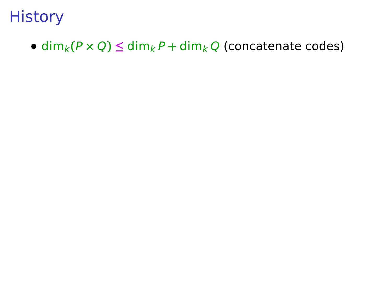•  $\dim_k(P \times Q) \leq \dim_k P + \dim_k Q$  (concatenate codes)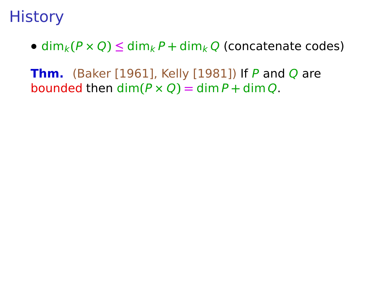•  $\dim_k(P \times Q) \leq \dim_k P + \dim_k Q$  (concatenate codes)

**Thm.** (Baker [1961], Kelly [1981]) If P and Q are bounded then  $\dim(P \times Q) = \dim P + \dim Q$ .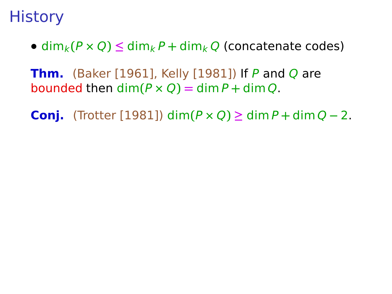- $\dim_k(P \times Q) \leq \dim_k P + \dim_k Q$  (concatenate codes)
- **Thm.** (Baker [1961], Kelly [1981]) If P and Q are bounded then  $\dim(P \times Q) = \dim P + \dim Q$ .
- **Conj.** (Trotter [1981]) dim**(**P **×** Q**) ≥** dim P **+** dim Q **−** 2.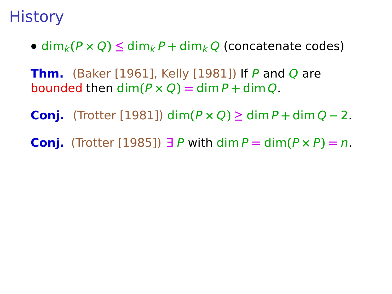- $\dim_k(P \times Q) \leq \dim_k P + \dim_k Q$  (concatenate codes)
- **Thm.** (Baker [1961], Kelly [1981]) If P and Q are bounded then  $\dim(P \times O) = \dim P + \dim O$ .
- **Conj.** (Trotter [1981]) dim**(**P **×** Q**) ≥** dim P **+** dim Q **−** 2.
- **Conj.** (Trotter [1985]) ∃ P with dim  $P = \dim(P \times P) = n$ .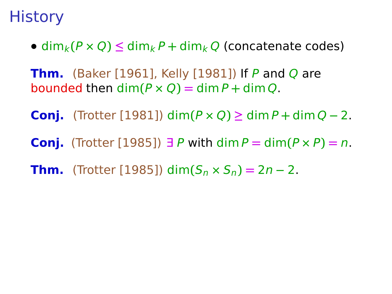- $\dim_k(P \times Q) \leq \dim_k P + \dim_k Q$  (concatenate codes)
- **Thm.** (Baker [1961], Kelly [1981]) If P and Q are bounded then  $\dim(P \times O) = \dim P + \dim O$ .
- **Conj.** (Trotter [1981]) dim**(**P **×** Q**) ≥** dim P **+** dim Q **−** 2.
- **Conj.** (Trotter [1985]) ∃ P with dim P **=** dim**(**P **×** P**) =** n.
- **Thm.** (Trotter [1985]) dim $(S_n \times S_n) = 2n 2$ .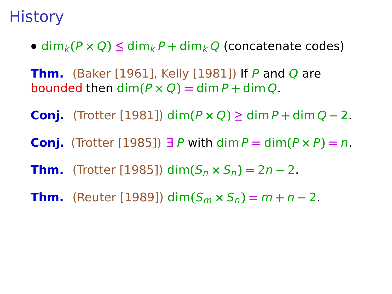- $\dim_k(P \times Q) \leq \dim_k P + \dim_k Q$  (concatenate codes)
- **Thm.** (Baker [1961], Kelly [1981]) If P and Q are bounded then  $\dim(P \times O) = \dim P + \dim O$ .
- **Conj.** (Trotter [1981]) dim**(**P **×** Q**) ≥** dim P **+** dim Q **−** 2.
- **Conj.** (Trotter [1985]) ∃ P with dim P **=** dim**(**P **×** P**) =** n.
- **Thm.** (Trotter [1985]) dim $(S_n \times S_n) = 2n 2$ .
- **Thm.** (Reuter [1989]) dim $(S_m \times S_n) = m + n 2$ .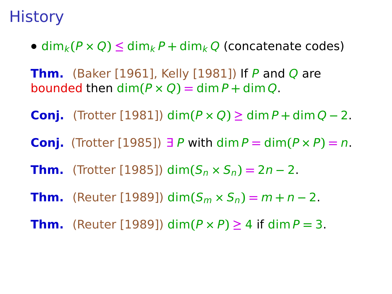- $\dim_k(P \times Q) \leq \dim_k P + \dim_k Q$  (concatenate codes)
- **Thm.** (Baker [1961], Kelly [1981]) If P and Q are bounded then  $\dim(P \times O) = \dim P + \dim O$ .
- **Conj.** (Trotter [1981]) dim**(**P **×** Q**) ≥** dim P **+** dim Q **−** 2.
- **Conj.** (Trotter [1985]) ∃ P with dim  $P = \dim(P \times P) = n$ .
- **Thm.** (Trotter [1985]) dim $(S_n \times S_n) = 2n 2$ .
- **Thm.** (Reuter [1989]) dim $(S_m \times S_n) = m + n 2$ .
- **Thm.** (Reuter [1989]) dim( $P \times P$ )  $\geq 4$  if dim  $P = 3$ .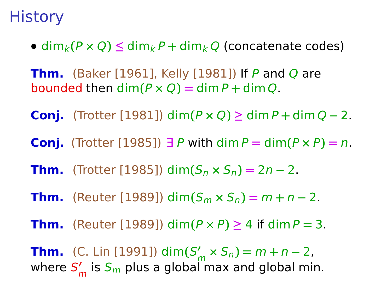- $\dim_k(P \times Q) \leq \dim_k P + \dim_k Q$  (concatenate codes)
- **Thm.** (Baker [1961], Kelly [1981]) If P and Q are bounded then  $\dim(P \times Q) = \dim P + \dim Q$ .
- **Conj.** (Trotter [1981]) dim**(**P **×** Q**) ≥** dim P **+** dim Q **−** 2.
- **Conj.** (Trotter [1985]) ∃ P with dim  $P = \dim(P \times P) = n$ .
- **Thm.** (Trotter [1985]) dim $(S_n \times S_n) = 2n 2$ .
- **Thm.** (Reuter [1989]) dim $(S_m \times S_n) = m + n 2$ .
- **Thm.** (Reuter [1989]) dim( $P \times P$ )  $\geq 4$  if dim  $P = 3$ .

**Thm.** (C. Lin [1991]) dim $(S'_m \times S_n) = m + n - 2$ , where  $\mathsf{S}'_m$  is  $\mathsf{S}_m$  plus a global max and global min.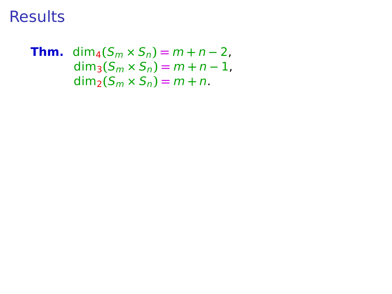**Thm.** dim<sub>4</sub> $(S_m \times S_n) = m + n - 2$ ,  $dim_3(S_m \times S_n) = m + n - 1$ ,  $\dim_2(S_m \times S_n) = m + n$ .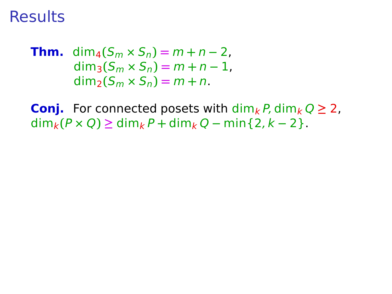**Thm.** 
$$
\dim_4(S_m \times S_n) = m + n - 2
$$
,  
\n $\dim_3(S_m \times S_n) = m + n - 1$ ,  
\n $\dim_2(S_m \times S_n) = m + n$ .

**Conj.** For connected posets with  $\dim_k P$ ,  $\dim_k Q \geq 2$ ,  $\dim_k(P \times Q)$  ≥ dim<sub>k</sub>  $P$  + dim<sub>k</sub>  $Q$  − min{2,  $k$  − 2}.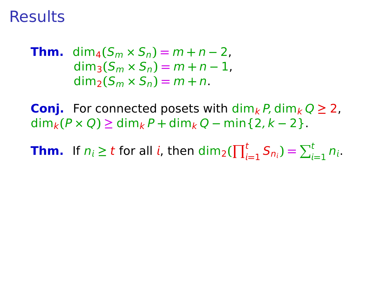**Thm.** 
$$
\dim_4(S_m \times S_n) = m + n - 2
$$
,  
\n $\dim_3(S_m \times S_n) = m + n - 1$ ,  
\n $\dim_2(S_m \times S_n) = m + n$ .

**Conj.** For connected posets with  $\dim_k P$ ,  $\dim_k Q \geq 2$ ,  $\dim_k(P \times Q)$  ≥ dim<sub>k</sub> P + dim<sub>k</sub> Q − min{2, k − 2}.

**Thm.** If  $n_i \ge t$  for all *i*, then  $\dim_2(\prod_{i=1}^t S_{n_i}) = \sum_{i=1}^t n_i$ .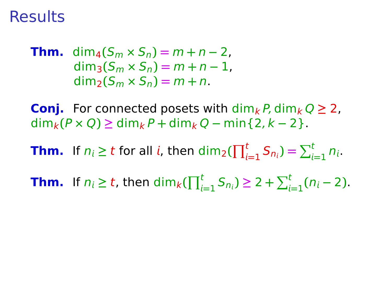**Thm.** dim<sub>4</sub> $(S_m \times S_n) = m + n - 2$ ,  $dim_3(S_m \times S_n) = m + n - 1$ .  $\dim_2(S_m \times S_n) = m + n$ .

**Conj.** For connected posets with  $\dim_k P$ ,  $\dim_k Q \geq 2$ ,  $\dim_k(P \times Q)$  ≥ dim<sub>k</sub> P + dim<sub>k</sub> Q − min{2, k − 2}.

**Thm.** If  $n_i \ge t$  for all *i*, then  $\dim_2(\prod_{i=1}^t S_{n_i}) = \sum_{i=1}^t n_i$ .

**Thm.** If  $n_i \ge t$ , then  $\dim_k(\prod_{i=1}^t S_{n_i}) \ge 2 + \sum_{i=1}^t (n_i - 2)$ .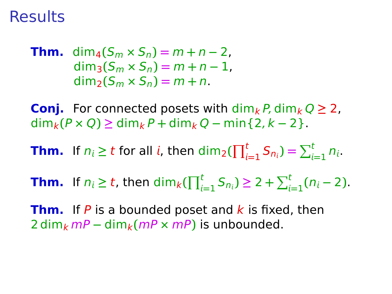**Thm.** dim<sub>4</sub> $(S_m \times S_n) = m + n - 2$ ,  $dim_3(S_m \times S_n) = m + n - 1$ .  $\dim_2(S_m \times S_n) = m + n$ .

**Conj.** For connected posets with  $\dim_k P$ ,  $\dim_k Q \geq 2$ ,  $\dim_k(P \times Q)$  ≥ dim<sub>k</sub> P + dim<sub>k</sub> Q − min{2, k − 2}.

**Thm.** If  $n_i \ge t$  for all *i*, then  $\dim_2(\prod_{i=1}^t S_{n_i}) = \sum_{i=1}^t n_i$ .

**Thm.** If  $n_i \ge t$ , then  $\dim_k(\prod_{i=1}^t S_{n_i}) \ge 2 + \sum_{i=1}^t (n_i - 2)$ .

**Thm.** If  $P$  is a bounded poset and  $k$  is fixed, then  $2 \dim_k mP - \dim_k (mP \times mP)$  is unbounded.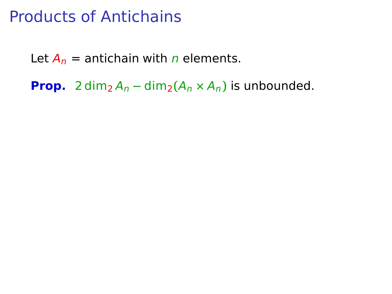Let  $A_n$  = antichain with *n* elements.

**Prop.** 2 dim<sub>2</sub>  $A_n - \dim_2(A_n \times A_n)$  is unbounded.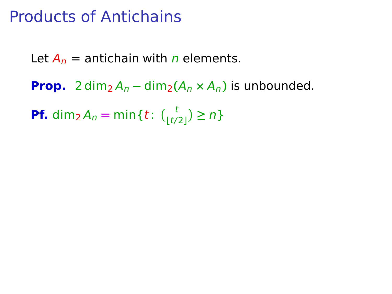Let  $A_n$  = antichain with *n* elements.

**Prop.** 2 dim<sub>2</sub>  $A_n - \dim_2(A_n \times A_n)$  is unbounded.

**Pf.** dim<sub>2</sub>  $A_n = \min\{t: {t \choose \lfloor t/2 \rfloor} \ge n\}$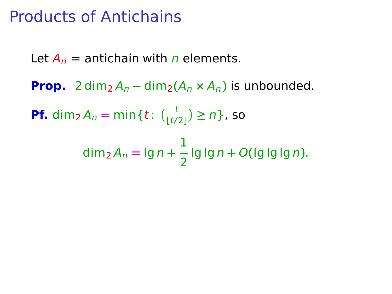Let  $A_n$  = antichain with *n* elements. **Prop.** 2 dim<sub>2</sub>  $A_n - \dim_2(A_n \times A_n)$  is unbounded. **Pf.** dim<sub>2</sub>  $A_n = \min\{t: \binom{t}{\lfloor t/2 \rfloor} \ge n\}$ , so dim<sup>2</sup> A<sup>n</sup> **=** lg n **+** 1 2 lg lg n **+** O**(**lg lg lg n**)**.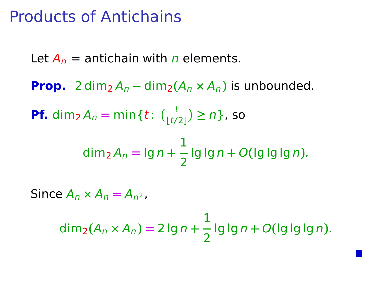Let  $A_n$  = antichain with *n* elements. **Prop.** 2 dim<sub>2</sub>  $A_n - \dim_2(A_n \times A_n)$  is unbounded. **Pf.** dim<sub>2</sub>  $A_n = \min\{t: \binom{t}{\lfloor t/2 \rfloor} \ge n\}$ , so dim<sup>2</sup> A<sup>n</sup> **=** lg n **+** 1 2 lg lg n **+** O**(**lg lg lg n**)**. Since  $A_n \times A_n = A_{n^2}$ , 1

dim2**(**A<sup>n</sup> **×** An**) =** 2 lg n **+** 2 lg lg n **+** O**(**lg lg lg n**)**.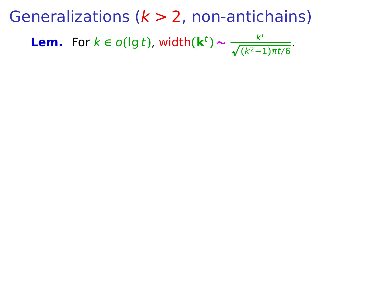**Lem.** For  $k \in o(\lg t)$ , width $(\mathbf{k}^t) \sim \frac{k^t}{\sqrt{(k^2-1)\pi t/6}}$ .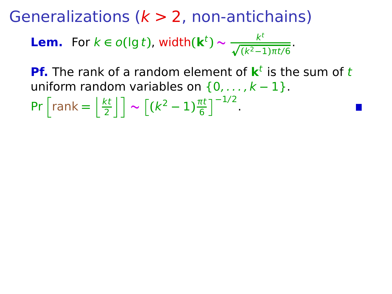**Lem.** For  $k \in o(\lg t)$ , width $(\mathbf{k}^t) \sim \frac{k^t}{\sqrt{(k^2-1)\pi t/6}}$ .

**Pf.** The rank of a random element of  $k^t$  is the sum of t uniform random variables on {0, . . . , k **−** 1}.

$$
\Pr\left[\text{rank}=\left\lfloor\frac{kt}{2}\right\rfloor\right] \sim \left[\left(k^2-1\right)\frac{\pi t}{6}\right]^{-1/2}.
$$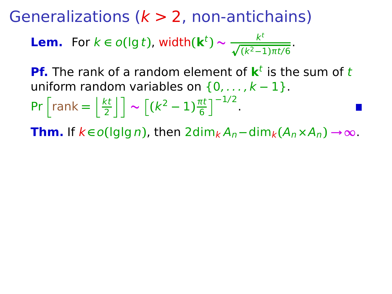**Lem.** For  $k \in o(\lg t)$ , width $(\mathbf{k}^t) \sim \frac{k^t}{\sqrt{(k^2-1)\pi t/6}}$ .

**Pf.** The rank of a random element of  $k^t$  is the sum of t uniform random variables on {0, . . . , k **−** 1}.

$$
\Pr\left[\text{rank}=\left\lfloor\frac{kt}{2}\right\rfloor\right] \sim \left[\left(k^2-1\right)\frac{\pi t}{6}\right]^{-1/2}.
$$

**Thm.** If  $k \in o(\lg \lg n)$ , then  $2 \dim_k A_n - \dim_k (A_n \times A_n) \rightarrow \infty$ .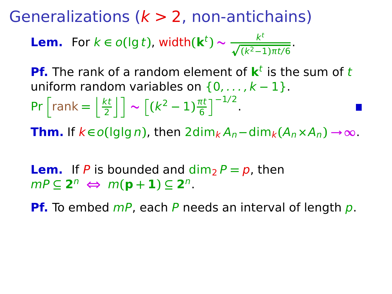**Lem.** For  $k \in o(\lg t)$ , width $(\mathbf{k}^t) \sim \frac{k^t}{\sqrt{(k^2-1)\pi t/6}}$ .

**Pf.** The rank of a random element of  $k^t$  is the sum of t uniform random variables on  $\{0, \ldots, k-1\}$ .

$$
\Pr\left[\text{rank}=\left\lfloor \frac{kt}{2} \right\rfloor\right] \sim \left[\left(k^2-1\right)\frac{\pi t}{6}\right]^{-1/2}.
$$

**Thm.** If  $k \in o(\lg \lg n)$ , then  $2 \dim_k A_n - \dim_k (A_n \times A_n) \rightarrow \infty$ .

**Lem.** If P is bounded and  $\dim_2 P = p$ , then  $mP \subseteq 2^n \Leftrightarrow m(\mathbf{p}+\mathbf{1}) \subseteq 2^n$ .

**Pf.** To embed  $mP$ , each P needs an interval of length p.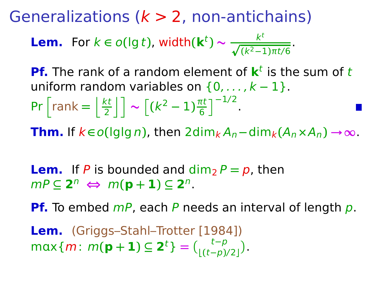**Lem.** For  $k \in o(\lg t)$ , width $(\mathbf{k}^t) \sim \frac{k^t}{\sqrt{(k^2-1)\pi t/6}}$ .

**Pf.** The rank of a random element of  $k^t$  is the sum of t uniform random variables on {0, . . . , k **−** 1}.

$$
\Pr\left[\text{rank}=\left\lfloor \frac{kt}{2} \right\rfloor\right] \sim \left[\left(k^2-1\right)\frac{\pi t}{6}\right]^{-1/2}.
$$

**Thm.** If  $k \in o(\lg \lg n)$ , then  $2 \dim_k A_n - \dim_k (A_n \times A_n) \rightarrow \infty$ .

**Lem.** If P is bounded and  $\dim_2 P = p$ , then  $mP \subseteq 2^n \Leftrightarrow m(\mathbf{p}+\mathbf{1}) \subseteq 2^n$ .

**Pf.** To embed *mP*, each *P* needs an interval of length *p*.

**Lem.** (Griggs–Stahl–Trotter [1984])  $max{m: m(\mathbf{p} + \mathbf{1}) \subseteq \mathbf{2}^t} = {t-p \choose \lfloor (t-p)/2 \rfloor}.$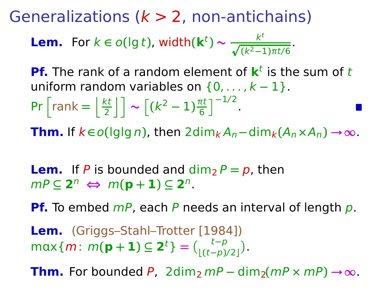Generalizations ( $k > 2$ , non-antichains)

**Lem.** For  $k \in o(\lg t)$ , width $(\mathbf{k}^t) \sim \frac{k^t}{\sqrt{(k^2-1)\pi t/6}}$ .

**Pf.** The rank of a random element of  $k^t$  is the sum of t uniform random variables on {0, . . . , k **−** 1}.

$$
\Pr\left[\text{rank}=\left\lfloor \frac{kt}{2} \right\rfloor\right] \sim \left[\left(k^2-1\right)\frac{\pi t}{6}\right]^{-1/2}.
$$

**Thm.** If  $k \in o(\lg \lg n)$ , then  $2 \dim_k A_n - \dim_k (A_n \times A_n) \rightarrow \infty$ .

**Lem.** If P is bounded and  $\dim_2 P = p$ , then  $mP \subseteq 2^n \Leftrightarrow m(\mathbf{p}+\mathbf{1}) \subseteq 2^n$ .

**Pf.** To embed  $mP$ , each P needs an interval of length p.

**Lem.** (Griggs–Stahl–Trotter [1984])  $max{m: m(\mathbf{p} + \mathbf{1}) \subseteq \mathbf{2}^t} = {t-p \choose \lfloor (t-p)/2 \rfloor}.$ 

**Thm.** For bounded P, 2dim<sub>2</sub> mP – dim<sub>2</sub>(mP × mP)  $\rightarrow \infty$ .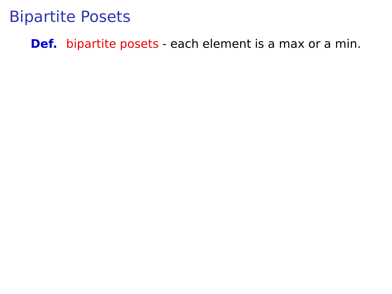**Def.** bipartite posets - each element is a max or a min.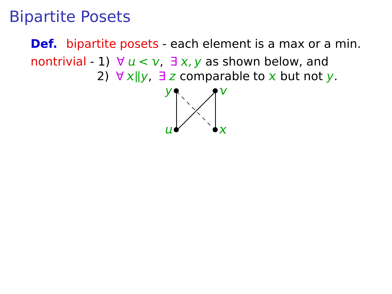**Def.** bipartite posets - each element is a max or a min. nontrivial - 1)  $\forall u < v$ ,  $\exists x, y$  as shown below, and 2)  $\forall x \parallel y$ ,  $\exists z$  comparable to *x* but not *y*.

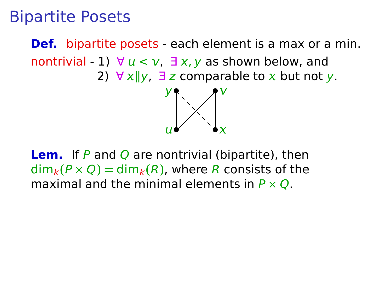**Def.** bipartite posets - each element is a max or a min. nontrivial - 1)  $\forall u < v$ ,  $\exists x, y$  as shown below, and 2)  $\forall x \parallel y$ ,  $\exists z$  comparable to x but not y.



**Lem.** If P and Q are nontrivial (bipartite), then  $\dim_k(P \times Q) = \dim_k(R)$ , where R consists of the maximal and the minimal elements in P **×** Q.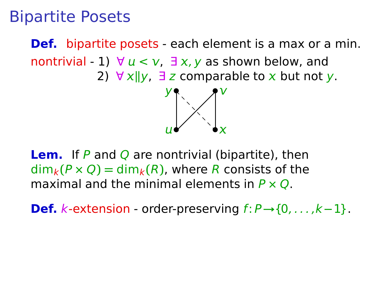**Def.** bipartite posets - each element is a max or a min. nontrivial  $-1$ )  $\forall u < v$ ,  $\exists x, y$  as shown below, and 2)  $\forall x \parallel y$ ,  $\exists z$  comparable to x but not y.



**Lem.** If P and Q are nontrivial (bipartite), then  $\dim_k(P \times Q) = \dim_k(R)$ , where R consists of the maximal and the minimal elements in P **×** Q.

**Def.** k-extension - order-preserving f: P**→**{0, . . . ,k**−**1}.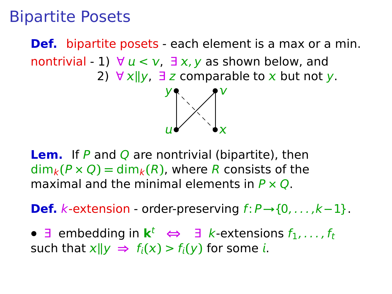**Def.** bipartite posets - each element is a max or a min. nontrivial - 1)  $\forall u < v$ ,  $\exists x, y$  as shown below, and 2)  $\forall x \parallel y$ ,  $\exists z$  comparable to x but not y.



**Lem.** If P and Q are nontrivial (bipartite), then  $\dim_k(P \times Q) = \dim_k(R)$ , where R consists of the maximal and the minimal elements in P **×** Q.

**Def.** k-extension - order-preserving f: P**→**{0, . . . ,k**−**1}.

**•** ∃ embedding in  $\mathbf{k}^t$  ⇔ ∃ *k*-extensions  $f_1, \ldots, f_t$ such that  $x||y \Rightarrow f_i(x) > f_i(y)$  for some *i*.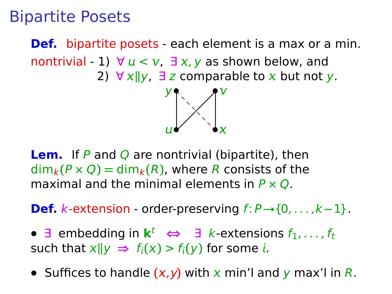**Def.** bipartite posets - each element is a max or a min. nontrivial - 1)  $\forall u < v$ ,  $\exists x, y$  as shown below, and 2)  $\forall x \parallel y$ ,  $\exists z$  comparable to x but not y.



**Lem.** If P and Q are nontrivial (bipartite), then  $\dim_k(P \times Q) = \dim_k(R)$ , where R consists of the maximal and the minimal elements in P **×** Q.

**Def.** k-extension - order-preserving f: P**→**{0, . . . ,k**−**1}.

- **•** ∃ embedding in  $\mathbf{k}^t$  ⇔ ∃ *k*-extensions  $f_1, \ldots, f_t$ such that  $x||y \Rightarrow f_i(x) > f_i(y)$  for some *i*.
- Suffices to handle  $(x,y)$  with  $x$  min'l and  $y$  max'l in R.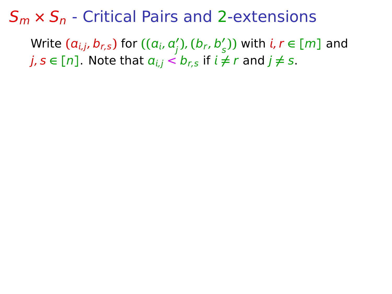#### S<sup>m</sup> **×** S<sup>n</sup> - Critical Pairs and 2-extensions

 $\mathsf{Write}\left(\boldsymbol{a}_{i,j},\boldsymbol{b}_{r,\boldsymbol{s}}\right)$  for  $\left((a_{i},a_{j}'),(b_{r},b_{s}')\right)$  with  $i,\boldsymbol{r} \in [m]$  and  $j, s \in [n]$ . Note that  $a_{i,j} < b_{r,s}$  if  $i \neq r$  and  $j \neq s$ .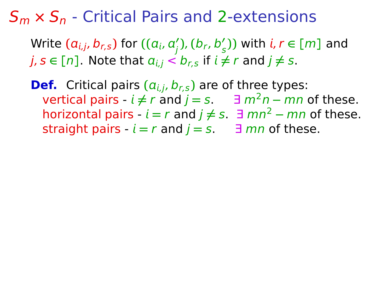#### S<sup>m</sup> **×** S<sup>n</sup> - Critical Pairs and 2-extensions

 $\mathsf{Write}\left(\boldsymbol{a}_{i,j},\boldsymbol{b}_{r,\boldsymbol{s}}\right)$  for  $\left((a_{i},a_{j}'),(b_{r},b_{s}')\right)$  with  $i,\boldsymbol{r} \in [m]$  and  $j, s \in [n]$ . Note that  $a_{i,j} < b_{rs}$  if  $i \neq r$  and  $j \neq s$ .

**Def.** Critical pairs  $(a_{i,j}, b_{r,s})$  are of three types: vertical pairs  $\cdot$  *i*  $\neq$  *r* and *j* = *s*.  $\exists$  *m*<sup>2</sup>*n* – *mn* of these. horizontal pairs  $-i = r$  and  $j ≠ s$ .  $\exists$  mn<sup>2</sup>  $-$  mn of these. straight pairs  $-i = r$  and  $j = s$ .  $\exists$  mn of these.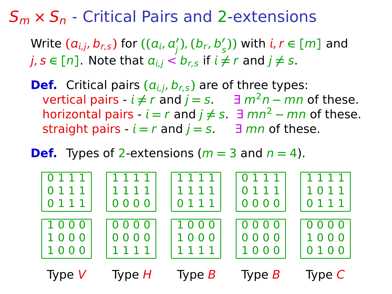### S<sup>m</sup> **×** S<sup>n</sup> - Critical Pairs and 2-extensions

 $\mathsf{Write}\left(\boldsymbol{a}_{i,j},\boldsymbol{b}_{r,\boldsymbol{s}}\right)$  for  $\left((a_{i},a_{j}'),(b_{r},b_{s}')\right)$  with  $i,\boldsymbol{r} \in [m]$  and  $j, s \in [n]$ . Note that  $a_{i,j} < b_{rs}$  if  $i \neq r$  and  $j \neq s$ .

**Def.** Critical pairs  $(a_{i,j}, b_{r,s})$  are of three types: vertical pairs  $-i ≠ r$  and  $j = s$ .  $\exists m^2 n - mn$  of these. horizontal pairs  $-i = r$  and  $j ≠ s$ .  $\exists$  mn<sup>2</sup>  $-$  mn of these. straight pairs  $-i = r$  and  $j = s$ .  $\exists$  mn of these.

#### **Def.** Types of 2-extensions ( $m = 3$  and  $n = 4$ ).

| 0111     | 1111     | 1111     | 0111     | 1111     |
|----------|----------|----------|----------|----------|
| 0111     | 1111     | 1111     | 0111     | 1011     |
| 0111     | 0000     | 0111     | 0000     | 0111     |
| 1000     | 0000     | 1000     | 0000     | 0000     |
| 1000     | 0000     | 1000     | 0000     | 1000     |
| 1000     | 1111     | 1111     | 1000     | 0100     |
| Type $V$ | Type $H$ | Type $B$ | Type $B$ | Type $C$ |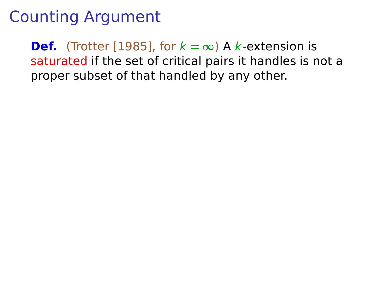**Def.** (Trotter [1985], for  $k = \infty$ ) A k-extension is saturated if the set of critical pairs it handles is not a proper subset of that handled by any other.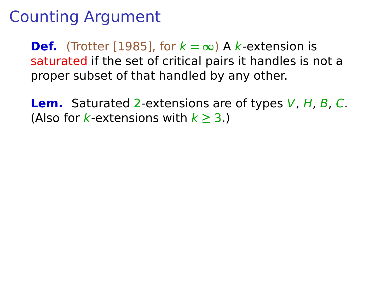**Def.** (Trotter [1985], for  $k = \infty$ ) A k-extension is saturated if the set of critical pairs it handles is not a proper subset of that handled by any other.

**Lem.** Saturated 2-extensions are of types V, H, B, C. (Also for *k*-extensions with  $k \geq 3$ .)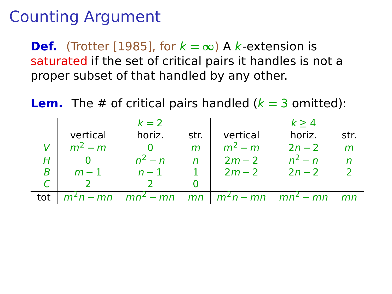**Def.** (Trotter [1985], for  $k = \infty$ ) A k-extension is saturated if the set of critical pairs it handles is not a proper subset of that handled by any other.

**Lem.** The # of critical pairs handled  $(k = 3 \text{ omitted})$ :

|     |           | $k=2$                                                                            |                |               | k > 4     |      |
|-----|-----------|----------------------------------------------------------------------------------|----------------|---------------|-----------|------|
|     | vertical  | horiz.                                                                           | str.           | vertical      | horiz.    | str. |
|     | $m^2 - m$ | - 0                                                                              | m              | $m^2 - m$     | $2n - 2$  | m    |
|     |           | $n^2 - n$                                                                        | $\overline{r}$ | $2m - 2$      | $n^2 - n$ |      |
| B   | $m-1$     | $n-1$                                                                            |                | $2m-2$ $2n-2$ |           |      |
|     |           |                                                                                  |                |               |           |      |
| tot |           | $m^2n - mn$ mn <sup>2</sup> - mn mn   m <sup>2</sup> n - mn mn <sup>2</sup> - mn |                |               |           | mn   |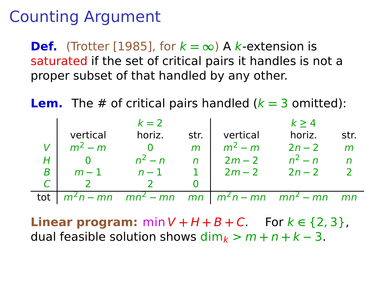**Def.** (Trotter [1985], for  $k = \infty$ ) A k-extension is saturated if the set of critical pairs it handles is not a proper subset of that handled by any other.

**Lem.** The # of critical pairs handled  $(k = 3 \text{ omitted})$ :

|     |           | $k=2$                                                                               |      |               | k > 4     |      |
|-----|-----------|-------------------------------------------------------------------------------------|------|---------------|-----------|------|
|     | vertical  | horiz.                                                                              | str. | vertical      | horiz.    | str. |
|     | $m^2 - m$ |                                                                                     | m    | $m^2 - m$     | $2n - 2$  | m    |
|     |           | $n^2 - n$                                                                           | n    | $2m - 2$      | $n^2 - n$ |      |
| в   | $m-1$     | $n-1$                                                                               |      | $2m-2$ $2n-2$ |           |      |
|     |           |                                                                                     |      |               |           |      |
| tot |           | $m^2n - mn$ mn <sup>2</sup> - mn mn   m <sup>2</sup> n - mn mn <sup>2</sup> - mn mn |      |               |           |      |

**Linear program:** min  $V$  +  $H$  +  $B$  +  $C$ . For  $k \in \{2, 3\}$ , dual feasible solution shows  $\dim_k > m + n + k - 3$ .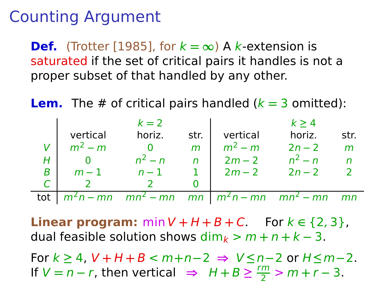**Def.** (Trotter [1985], for  $k = \infty$ ) A k-extension is saturated if the set of critical pairs it handles is not a proper subset of that handled by any other.

**Lem.** The # of critical pairs handled  $(k = 3 \text{ omitted})$ :

|     |           | $k=2$                                                                               |      |                 | k > 4     |              |
|-----|-----------|-------------------------------------------------------------------------------------|------|-----------------|-----------|--------------|
|     | vertical  | horiz.                                                                              | str. | vertical        | horiz.    | str.         |
|     | $m^2 - m$ | $\overline{\mathbf{0}}$                                                             | m    | $m^2 - m$       | $2n - 2$  | $\mathsf{m}$ |
|     |           | $n^2 - n$                                                                           |      | $n \mid 2m-2$   | $n^2 - n$ |              |
| в   | $m-1$     | $n-1$                                                                               |      | 1 $2m-2$ $2n-2$ |           |              |
|     |           |                                                                                     |      |                 |           |              |
| tot |           | $m^2n - mn$ mn <sup>2</sup> - mn mn   m <sup>2</sup> n - mn mn <sup>2</sup> - mn mn |      |                 |           |              |

**Linear program:** min  $V$  +  $H$  +  $B$  +  $C$ . For  $k \in \{2, 3\}$ , dual feasible solution shows  $\dim_k > m + n + k - 3$ .

For k **≥** 4, V **+** H **+** B < m**+**n**−**2 **⇒** V **≤**n**−**2 or H**≤**m**−**2. If  $V = n - r$ , then vertical ⇒  $H + B \ge \frac{rm}{2} > m + r - 3$ .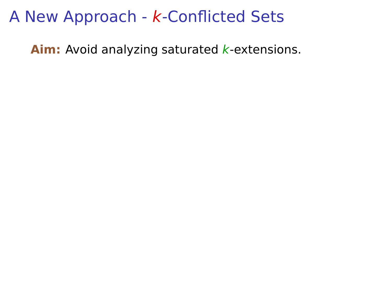Aim: Avoid analyzing saturated *k*-extensions.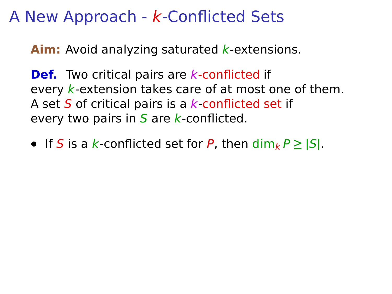**Aim:** Avoid analyzing saturated *k*-extensions.

**Def.** Two critical pairs are *k*-conflicted if every  $k$ -extension takes care of at most one of them. A set S of critical pairs is a  $k$ -conflicted set if every two pairs in  $S$  are k-conflicted.

• If S is a k-conflicted set for P, then  $\dim_k P \geq |S|$ .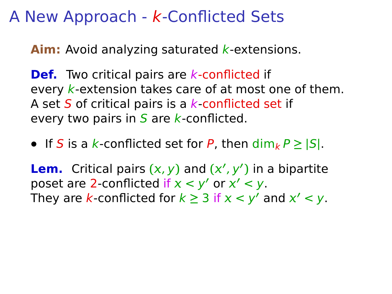**Aim:** Avoid analyzing saturated *k*-extensions.

**Def.** Two critical pairs are *k*-conflicted if every  $k$ -extension takes care of at most one of them. A set  $S$  of critical pairs is a  $k$ -conflicted set if every two pairs in  $S$  are k-conflicted.

• If S is a k-conflicted set for P, then  $\dim_k P \geq |S|$ .

**Lem.** Critical pairs  $(x, y)$  and  $(x', y')$  in a bipartite poset are 2-conflicted if  $x < y'$  or  $x' < y$ . They are k-conflicted for  $k \geq 3$  if  $x < y'$  and  $x' < y$ .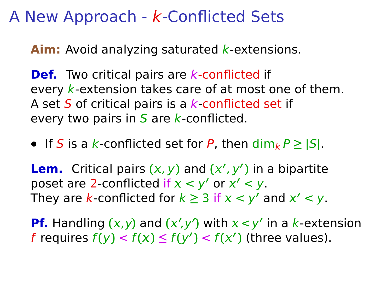**Aim:** Avoid analyzing saturated *k*-extensions.

**Def.** Two critical pairs are *k*-conflicted if every  $k$ -extension takes care of at most one of them. A set S of critical pairs is a  $k$ -conflicted set if every two pairs in  $S$  are k-conflicted.

• If S is a k-conflicted set for P, then  $\dim_k P \geq |S|$ .

**Lem.** Critical pairs  $(x, y)$  and  $(x', y')$  in a bipartite poset are 2-conflicted if  $x < y'$  or  $x' < y$ . They are k-conflicted for  $k \geq 3$  if  $x < y'$  and  $x' < y$ .

**Pf.** Handling  $(x, y)$  and  $(x', y')$  with  $x < y'$  in a k-extension f requires  $f(y) < f(x) \le f(y') < f(x')$  (three values).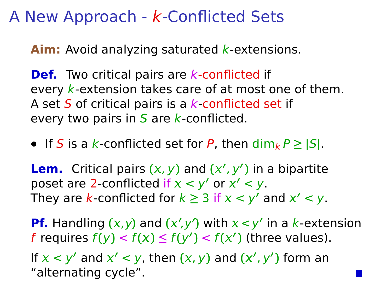**Aim:** Avoid analyzing saturated *k*-extensions.

**Def.** Two critical pairs are *k*-conflicted if every  $k$ -extension takes care of at most one of them. A set  $S$  of critical pairs is a  $k$ -conflicted set if every two pairs in  $S$  are k-conflicted.

• If S is a k-conflicted set for P, then  $\dim_k P \geq |S|$ .

**Lem.** Critical pairs  $(x, y)$  and  $(x', y')$  in a bipartite poset are 2-conflicted if  $x < y'$  or  $x' < y$ . They are k-conflicted for  $k \geq 3$  if  $x < y'$  and  $x' < y$ .

**Pf.** Handling  $(x, y)$  and  $(x', y')$  with  $x < y'$  in a k-extension f requires  $f(y) < f(x) \le f(y') < f(x')$  (three values).

If  $x < y'$  and  $x' < y$ , then  $(x, y)$  and  $(x', y')$  form an "alternating cycle".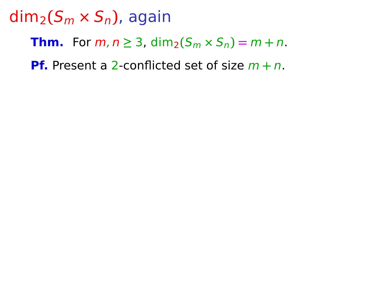**Thm.** For  $m, n \ge 3$ ,  $\dim_2(S_m \times S_n) = m + n$ .

**Pf.** Present a 2-conflicted set of size m **+** n.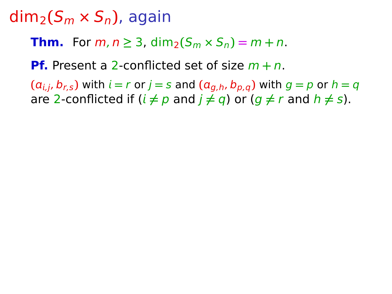**Thm.** For  $m, n \ge 3$ ,  $\dim_2(S_m \times S_n) = m + n$ .

**Pf.** Present a 2-conflicted set of size m **+** n.

 $(a_{i,j}, b_{r,s})$  with  $i = r$  or  $j = s$  and  $(a_{a,h}, b_{p,q})$  with  $q = p$  or  $h = q$ are 2-conflicted if  $(i \neq p$  and  $j \neq q$ ) or  $(q \neq r$  and  $h \neq s)$ .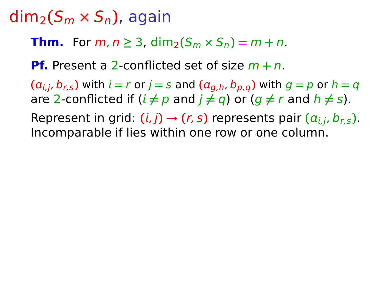**Thm.** For  $m, n \ge 3$ ,  $\dim_2(S_m \times S_n) = m + n$ .

**Pf.** Present a 2-conflicted set of size m **+** n.

 $(a_{i,j}, b_{r,s})$  with  $i = r$  or  $j = s$  and  $(a_{a,h}, b_{p,q})$  with  $q = p$  or  $h = q$ are 2-conflicted if  $(i \neq p$  and  $j \neq q$ ) or  $(q \neq r$  and  $h \neq s)$ .

Represent in grid:  $(i, j) \rightarrow (r, s)$  represents pair  $(a_{i,j}, b_{r,s})$ . Incomparable if lies within one row or one column.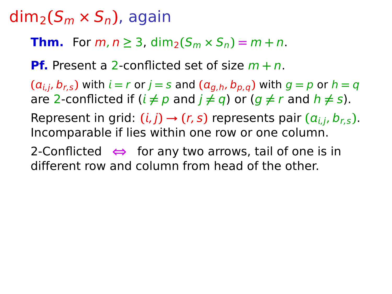**Thm.** For  $m, n \ge 3$ ,  $\dim_2(S_m \times S_n) = m + n$ .

**Pf.** Present a 2-conflicted set of size m **+** n.

 $(a_{i,j}, b_{r,s})$  with  $i = r$  or  $j = s$  and  $(a_{a,h}, b_{p,q})$  with  $q = p$  or  $h = q$ are 2-conflicted if  $(i \neq p$  and  $j \neq q$ ) or  $(q \neq r$  and  $h \neq s)$ .

Represent in grid:  $(i, j) \rightarrow (r, s)$  represents pair  $(a_{i,j}, b_{r,s})$ . Incomparable if lies within one row or one column.

2-Conflicted **⇔** for any two arrows, tail of one is in different row and column from head of the other.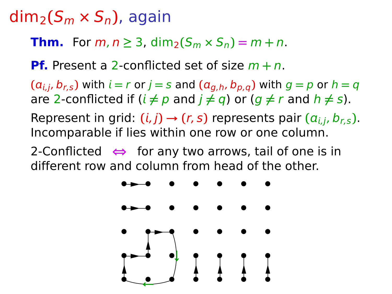**Thm.** For  $m, n \ge 3$ ,  $\dim_2(S_m \times S_n) = m + n$ .

**Pf.** Present a 2-conflicted set of size m **+** n.

 $(a_{i,j}, b_{r,s})$  with  $i = r$  or  $j = s$  and  $(a_{a,h}, b_{p,q})$  with  $q = p$  or  $h = q$ are 2-conflicted if  $(i \neq p$  and  $j \neq q$ ) or  $(q \neq r$  and  $h \neq s)$ .

Represent in grid:  $(i, j) \rightarrow (r, s)$  represents pair  $(a_{i,j}, b_{r,s})$ . Incomparable if lies within one row or one column.

2-Conflicted **⇔** for any two arrows, tail of one is in different row and column from head of the other.

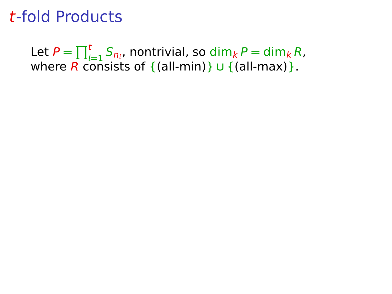Let  $P = \prod_{i=1}^{t} S_{n_i}$ , nontrivial, so  $\dim_k P = \dim_k R$ , where R consists of {(all-min)} **∪** {(all-max)}.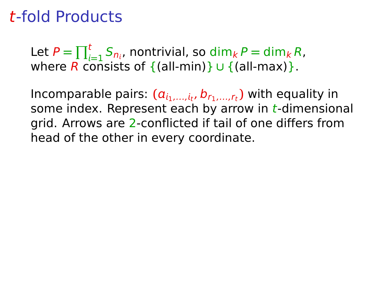Let  $P = \prod_{i=1}^{t} S_{n_i}$ , nontrivial, so  $\dim_k P = \dim_k R$ , where R consists of {(all-min)} **∪** {(all-max)}.

Incomparable pairs:  $(a_{i_1,...,i_t}, b_{r_1,...,r_t})$  with equality in some index. Represent each by arrow in  $t$ -dimensional grid. Arrows are 2-conflicted if tail of one differs from head of the other in every coordinate.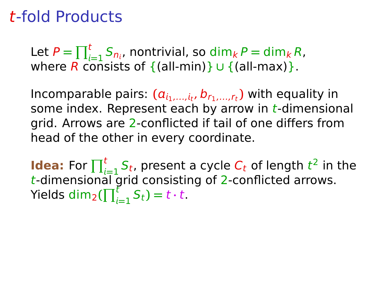Let  $P = \prod_{i=1}^{t} S_{n_i}$ , nontrivial, so  $\dim_k P = \dim_k R$ , where R consists of {(all-min)} **∪** {(all-max)}.

Incomparable pairs:  $(a_{i_1,...,i_t}, b_{r_1,...,r_t})$  with equality in some index. Represent each by arrow in  $t$ -dimensional arid. Arrows are 2-conflicted if tail of one differs from head of the other in every coordinate.

**Idea:** For  $\prod_{i=1}^{t} S_t$ , present a cycle  $C_t$  of length  $t^2$  in the **Example 1** or  $\prod_{i=1}^{n}$  of presence a cycle of a rengine the dimensional grid consisting of 2-conflicted arrows.  $Y$ ields dim<sub>2</sub>( $\prod_{i=1}^{t} S_t$ ) =  $t \cdot t$ .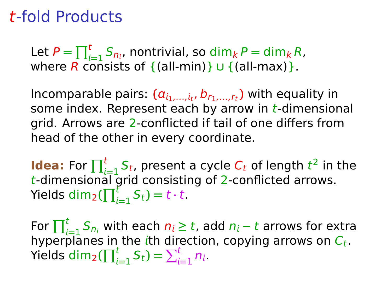Let  $P = \prod_{i=1}^{t} S_{n_i}$ , nontrivial, so  $\dim_k P = \dim_k R$ , where R consists of {(all-min)} **∪** {(all-max)}.

Incomparable pairs:  $(a_{i_1,...,i_t}, b_{r_1,...,r_t})$  with equality in some index. Represent each by arrow in  $t$ -dimensional arid. Arrows are 2-conflicted if tail of one differs from head of the other in every coordinate.

**Idea:** For  $\prod_{i=1}^{t} S_t$ , present a cycle  $C_t$  of length  $t^2$  in the **Example 1** or  $\prod_{i=1}^{n}$  of presence a cycle of a rengine the dimensional grid consisting of 2-conflicted arrows.  $Y$ ields dim<sub>2</sub>( $\prod_{i=1}^{t} S_t$ ) =  $t \cdot t$ .

For  $\prod_{i=1}^{t} S_{n_i}$  with each  $n_i \ge t$ , add  $n_i - t$  arrows for extra hyperplanes in the ith direction, copying arrows on  $C_t.$ Yields  $\dim_2(\prod_{i=1}^t S_t) = \sum_{i=1}^t n_i$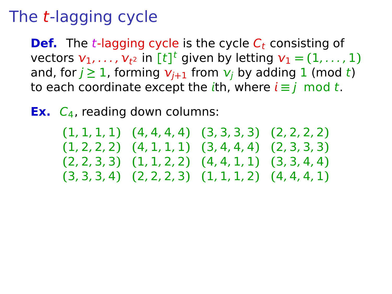**Def.** The *t*-lagging cycle is the cycle  $C_t$  consisting of vectors  $v_1, \ldots, v_{t^2}$  in  $[t]^t$  given by letting  $v_1 = (1, \ldots, 1)$ and, for  $j \ge 1$ , forming  $v_{j+1}$  from  $v_j$  by adding 1 (mod t) to each coordinate except the *i*th, where  $i \equiv j \mod t$ .

**Ex.** C<sub>4</sub>, reading down columns:

**(**1, 1, 1, 1**) (**4, 4, 4, 4**) (**3, 3, 3, 3**) (**2, 2, 2, 2**) (**1, 2, 2, 2**) (**4, 1, 1, 1**) (**3, 4, 4, 4**) (**2, 3, 3, 3**) (**2, 2, 3, 3**) (**1, 1, 2, 2**) (**4, 4, 1, 1**) (**3, 3, 4, 4**) (**3, 3, 3, 4**) (**2, 2, 2, 3**) (**1, 1, 1, 2**) (**4, 4, 4, 1**)**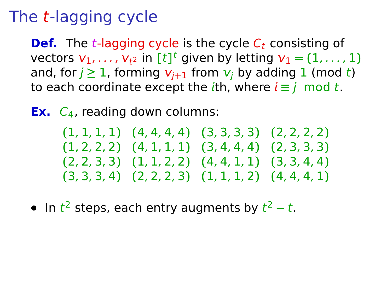**Def.** The *t*-lagging cycle is the cycle  $C_t$  consisting of vectors  $v_1, \ldots, v_{t^2}$  in  $[t]^t$  given by letting  $v_1 = (1, \ldots, 1)$ and, for  $j \ge 1$ , forming  $v_{j+1}$  from  $v_j$  by adding 1 (mod t) to each coordinate except the *i*th, where  $i \equiv j \mod t$ .

**Ex.**  $C_4$ , reading down columns:

**(**1, 1, 1, 1**) (**4, 4, 4, 4**) (**3, 3, 3, 3**) (**2, 2, 2, 2**) (**1, 2, 2, 2**) (**4, 1, 1, 1**) (**3, 4, 4, 4**) (**2, 3, 3, 3**) (**2, 2, 3, 3**) (**1, 1, 2, 2**) (**4, 4, 1, 1**) (**3, 3, 4, 4**) (**3, 3, 3, 4**) (**2, 2, 2, 3**) (**1, 1, 1, 2**) (**4, 4, 4, 1**)**

**•** In t <sup>2</sup> steps, each entry augments by t <sup>2</sup> **<sup>−</sup>** <sup>t</sup>.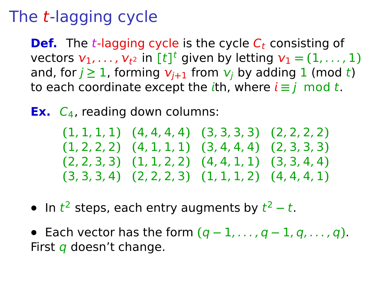**Def.** The *t*-lagging cycle is the cycle  $C_t$  consisting of vectors  $v_1, \ldots, v_{t^2}$  in  $[t]^t$  given by letting  $v_1 = (1, \ldots, 1)$ and, for  $j \ge 1$ , forming  $v_{j+1}$  from  $v_j$  by adding 1 (mod t) to each coordinate except the *i*th, where  $i \equiv j \mod t$ .

**Ex.**  $C_4$ , reading down columns:

**(**1, 1, 1, 1**) (**4, 4, 4, 4**) (**3, 3, 3, 3**) (**2, 2, 2, 2**) (**1, 2, 2, 2**) (**4, 1, 1, 1**) (**3, 4, 4, 4**) (**2, 3, 3, 3**) (**2, 2, 3, 3**) (**1, 1, 2, 2**) (**4, 4, 1, 1**) (**3, 3, 4, 4**) (**3, 3, 3, 4**) (**2, 2, 2, 3**) (**1, 1, 1, 2**) (**4, 4, 4, 1**)**

- **•** In t <sup>2</sup> steps, each entry augments by t <sup>2</sup> **<sup>−</sup>** <sup>t</sup>.
- **•** Each vector has the form **(**q **−** 1, . . . , q **−** 1, q, . . . , q**)**. First q doesn't change.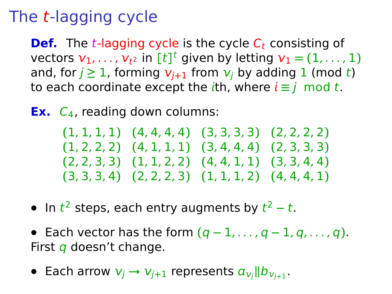**Def.** The *t*-lagging cycle is the cycle  $C_t$  consisting of vectors  $v_1, \ldots, v_{t^2}$  in  $[t]^t$  given by letting  $v_1 = (1, \ldots, 1)$ and, for  $j \ge 1$ , forming  $v_{j+1}$  from  $v_j$  by adding 1 (mod t) to each coordinate except the *i*th, where  $i \equiv j \mod t$ .

**Ex.**  $C_4$ , reading down columns:

**(**1, 1, 1, 1**) (**4, 4, 4, 4**) (**3, 3, 3, 3**) (**2, 2, 2, 2**) (**1, 2, 2, 2**) (**4, 1, 1, 1**) (**3, 4, 4, 4**) (**2, 3, 3, 3**) (**2, 2, 3, 3**) (**1, 1, 2, 2**) (**4, 4, 1, 1**) (**3, 3, 4, 4**) (**3, 3, 3, 4**) (**2, 2, 2, 3**) (**1, 1, 1, 2**) (**4, 4, 4, 1**)**

- **•** In t <sup>2</sup> steps, each entry augments by t <sup>2</sup> **<sup>−</sup>** <sup>t</sup>.
- **•** Each vector has the form **(**q **−** 1, . . . , q **−** 1, q, . . . , q**)**. First  $q$  doesn't change.
- Each arrow  $v_j \rightarrow v_{j+1}$  represents  $a_{v_j}$ ||b $_{v_{j+1}}$ .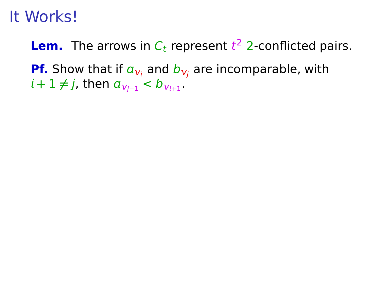# It Works!

**Lem.** The arrows in  $C_t$  represent  $t^2$  2-conflicted pairs. **Pf.** Show that if  $a_{\nu_i}$  and  $b_{\nu_i}$  are incomparable, with  $i+1 \neq j$ , then  $a_{\nu_{j-1}} < b_{\nu_{i+1}}$ .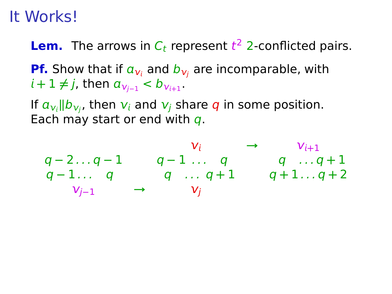#### It Works!

**Lem.** The arrows in  $C_t$  represent  $t^2$  2-conflicted pairs.

**Pf.** Show that if  $a_{v_i}$  and  $b_{v_i}$  are incomparable, with  $i+1 \neq j$ , then  $a_{\nu_{j-1}} < b_{\nu_{i+1}}$ .

If  $a_{\nu_i}$  |b<sub> $\nu_j$ </sub>, then  $\nu_i$  and  $\nu_j$  share q in some position. Each may start or end with  $q$ .

$$
q-2...q-1 \qquad q-1... q \qquad q \qquad q...q+1
$$
  
\n
$$
q-1... q \qquad q...q+1 \qquad q+1...q+2
$$
  
\n
$$
v_{j-1} \qquad \rightarrow \qquad v_j
$$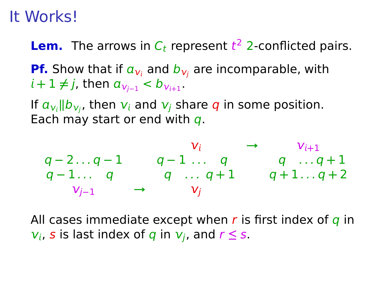#### It Works!

**Lem.** The arrows in  $C_t$  represent  $t^2$  2-conflicted pairs.

**Pf.** Show that if  $a_{v_i}$  and  $b_{v_i}$  are incomparable, with  $i+1 \neq j$ , then  $a_{\nu_{j-1}} < b_{\nu_{i+1}}$ .

If  $a_{\nu_i}$  |b<sub> $\nu_j$ </sub>, then  $\nu_i$  and  $\nu_j$  share q in some position. Each may start or end with  $q$ .

$$
q-2...q-1 \n q-1... q \n q-1... q \n q+1...q+1
$$
\n
$$
q-1... q \n q...q+1 \n q+1...q+2
$$
\n
$$
v_{j-1} \n \rightarrow v_j
$$

All cases immediate except when  $r$  is first index of  $q$  in  $v_i$ , s is last index of q in  $v_i$ , and  $r \leq s$ .